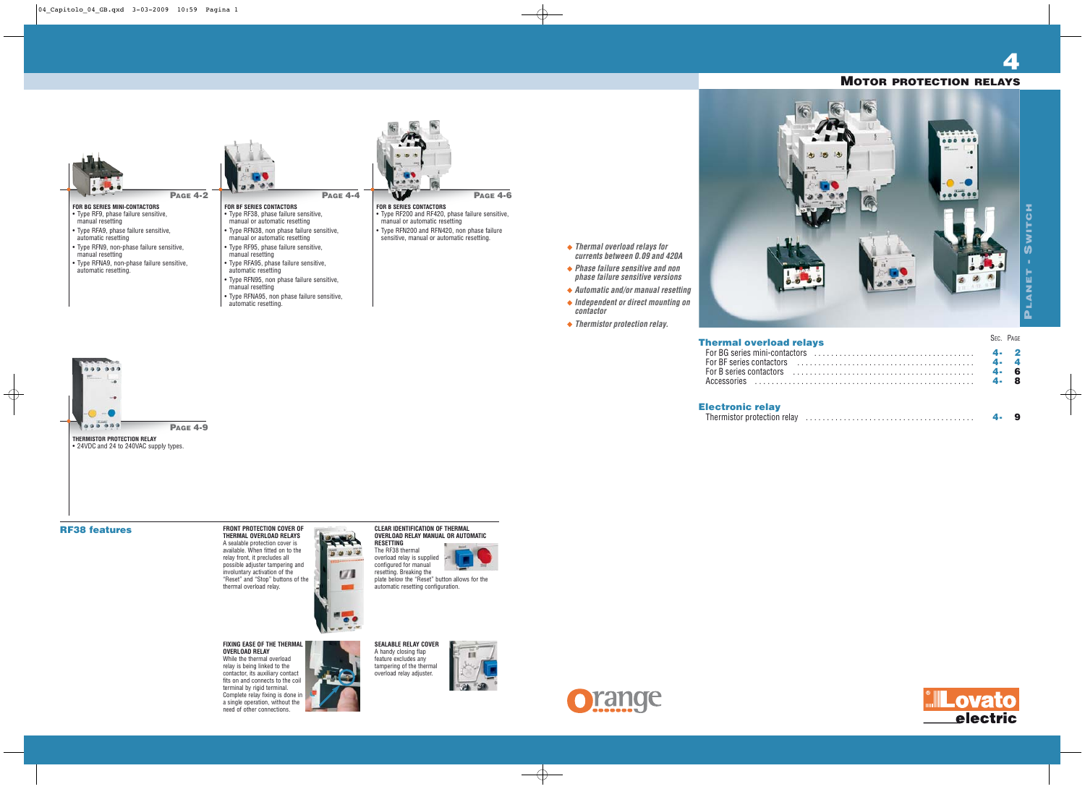| lays | SEC. PAGE |
|------|-----------|
|      | 4.        |
|      | 4.        |
|      | 4.        |
|      | Δ.        |
|      |           |
|      |           |
|      |           |



**4**

**Thermal overload relays for currents between 0.09 and 420A Phase failure sensitive and non phase failure sensitive versions**



### **Thermal overload rel**

**contactor**

**Thermistor protection relay.**

### **MOTOR PROTECTION RELAYS**

For BG series mini-contactors For BF series contactors . . . For B series contactors . . . . . . . . . . . . . . . . . . . . . . . . . . . . . . . . . . . . . . . . . . . **4- 6** Accessories . . . . . . . . . . . . . . . . . . . . . . . . . . . . . . . . . . . . . . . . . . . . . . . . . . . . **4- 8**

**Electronic relay**  $T$ hermistor protection relay

# **RF38 features FRONT PROTECTION COVER OF**

在 级 段



**THERMISTOR PROTECTION RELAY** • 24VDC and 24 to 240VAC supply types.

**PAGE 4-9**

**THERMAL OVERLOAD RELAYS** A sealable protection cover is available. When fitted on to the relay front, it precludes all possible adjuster tampering and involuntary activation of the "Reset" and "Stop" buttons of the thermal overload relay.



#### **FIXING EASE OF THE THERMAL OVERLOAD RELAY** While the thermal overload

relay is being linked to the contactor, its auxiliary contact fits on and connects to the coil terminal by rigid terminal. Complete relay fixing is done in a single operation, without the need of other connections.



#### **CLEAR IDENTIFICATION OF THERMAL OVERLOAD RELAY MANUAL OR AUTOMATIC RESETTING**

The RF38 thermal overload relay is supplied configured for manual resetting. Breaking the plate below the "Reset" button allows for the automatic resetting configuration.

**SEALABLE RELAY COVER** A handy closing flap feature excludes any tampering of the thermal overload relay adjuster.



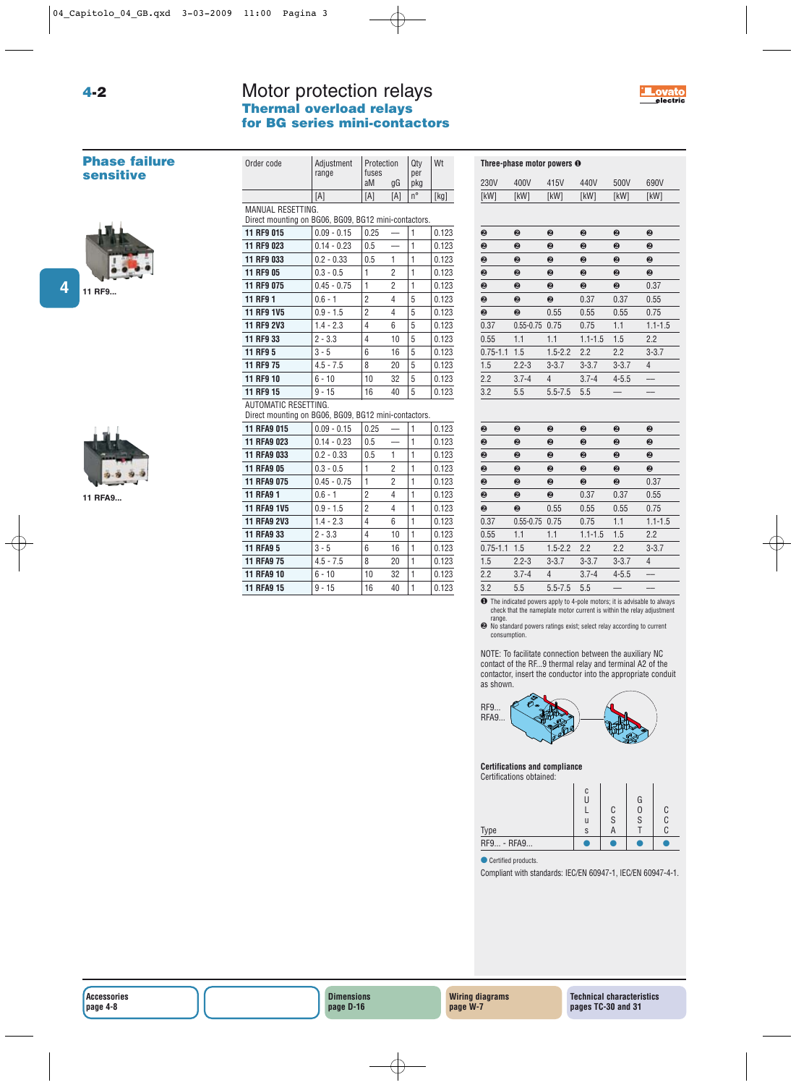## Motor protection relays **Thermal overload relays for BG series mini-contactors**

Order code Adjustment Protection Oty Wt



#### **Phase failure sensitive**

**4-2**



**4**



**11 RFA9...**

|                                                                              | range         | fuses<br>aM    | gG             | per<br>pkg   |       |
|------------------------------------------------------------------------------|---------------|----------------|----------------|--------------|-------|
|                                                                              | [A]           | [A]            | [A]            | n°           | [kg]  |
|                                                                              |               |                |                |              |       |
| MANUAL RESETTING.<br>Direct mounting on BG06, BG09, BG12 mini-contactors.    |               |                |                |              |       |
| 11 RF9 015                                                                   | $0.09 - 0.15$ | 0.25           |                | $\mathbf{1}$ | 0.123 |
| 11 RF9 023                                                                   | $0.14 - 0.23$ | 0.5            |                | $\mathbf{1}$ | 0.123 |
| 11 RF9 033                                                                   | $0.2 - 0.33$  | 0.5            | 1              | $\mathbf{1}$ | 0.123 |
| 11 RF9 05                                                                    | $0.3 - 0.5$   | 1              | $\overline{2}$ | 1            | 0.123 |
| 11 RF9 075                                                                   | $0.45 - 0.75$ | $\mathbf{1}$   | 2              | $\mathbf{1}$ | 0.123 |
| 11 RF9 1                                                                     | $0.6 - 1$     | $\overline{2}$ | 4              | 5            | 0.123 |
| 11 RF9 1V5                                                                   | $0.9 - 1.5$   | $\overline{2}$ | 4              | 5            | 0.123 |
| 11 RF9 2V3                                                                   | $1.4 - 2.3$   | 4              | 6              | 5            | 0.123 |
| 11 RF9 33                                                                    | $2 - 3.3$     | 4              | 10             | 5            | 0.123 |
| 11 RF9 5                                                                     | $3 - 5$       | 6              | 16             | 5            | 0.123 |
| 11 RF9 75                                                                    | $4.5 - 7.5$   | 8              | 20             | 5            | 0.123 |
| 11 RF9 10                                                                    | $6 - 10$      | 10             | 32             | 5            | 0.123 |
| 11 RF9 15                                                                    | $9 - 15$      | 16             | 40             | 5            | 0.123 |
| AUTOMATIC RESETTING.<br>Direct mounting on BG06, BG09, BG12 mini-contactors. |               |                |                |              |       |
| <b>11 RFA9 015</b>                                                           | $0.09 - 0.15$ | 0.25           |                | $\mathbf{1}$ | 0.123 |
| <b>11 RFA9 023</b>                                                           | $0.14 - 0.23$ | 0.5            |                | $\mathbf{1}$ | 0.123 |
| 11 RFA9 033                                                                  | $0.2 - 0.33$  | 0.5            | 1              | 1            | 0.123 |
| <b>11 RFA9 05</b>                                                            | $0.3 - 0.5$   | $\mathbf{1}$   | $\overline{2}$ | $\mathbf{1}$ | 0.123 |
| <b>11 RFA9 075</b>                                                           | $0.45 - 0.75$ | 1              | $\overline{2}$ | $\mathbf{1}$ | 0.123 |
| <b>11 RFA9 1</b>                                                             | $0.6 - 1$     | 2              | 4              | 1            | 0.123 |
| <b>11 RFA9 1V5</b>                                                           | $0.9 - 1.5$   | $\overline{2}$ | 4              | $\mathbf{1}$ | 0.123 |
| <b>11 RFA9 2V3</b>                                                           | $1.4 - 2.3$   | 4              | 6              | 1            | 0.123 |
| 11 RFA9 33                                                                   | $2 - 3.3$     | 4              | 10             | 1            | 0.123 |
| <b>11 RFA9 5</b>                                                             | $3 - 5$       | 6              | 16             | $\mathbf{1}$ | 0.123 |
| <b>11 RFA9 75</b>                                                            | $4.5 - 7.5$   | 8              | 20             | $\mathbf{1}$ | 0.123 |
| <b>11 RFA9 10</b>                                                            | $6 - 10$      | 10             | 32             | 1            | 0.123 |
| <b>11 RFA9 15</b>                                                            | $9 - 15$      | 16             | 40             | $\mathbf{1}$ | 0.123 |
|                                                                              |               |                |                |              |       |

|              | Three-phase motor powers <sup>o</sup> |                |             |           |             |
|--------------|---------------------------------------|----------------|-------------|-----------|-------------|
| 230V         | 400V                                  | 415V           | 440V        | 500V      | 690V        |
| [kW]         | [kW]                                  | [kW]           | [kW]        | [kW]      | [kW]        |
|              |                                       |                |             |           |             |
| ❷            | ❷                                     | 0              | ❷           | ❷         | ❷           |
| ❷            | ❷                                     | ❷              | ❷           | ❷         | ❷           |
| ❷            | ❷                                     | ❷              | ❷           | ❷         | ❷           |
| ❷            | 0                                     | 0              | ❷           | ❷         | ❷           |
| ❷            | ❷                                     | ❷              | ❷           | ❷         | 0.37        |
| 0            | 0                                     | 0              | 0.37        | 0.37      | 0.55        |
| 0            | ❷                                     | 0.55           | 0.55        | 0.55      | 0.75        |
| 0.37         | $0.55 - 0.75$                         | 0.75           | 0.75        | 1.1       | $1.1 - 1.5$ |
| 0.55         | 1.1                                   | 1.1            | $1.1 - 1.5$ | 1.5       | 2.2         |
| $0.75 - 1.1$ | 1.5                                   | $1.5 - 2.2$    | 2.2         | 2.2       | $3 - 3.7$   |
| 1.5          | $2.2 - 3$                             | $3 - 3.7$      | $3 - 3.7$   | $3 - 3.7$ | 4           |
| 2.2          | $3.7 - 4$                             | 4              | $3.7 - 4$   | $4 - 5.5$ |             |
| 3.2          | 5.5                                   | $5.5 - 7.5$    | 5.5         |           |             |
|              |                                       |                |             |           |             |
| ❷            | ❷                                     | ❷              | ❷           | ❷         | ❷           |
| 0            | 0                                     | 0              | 0           | 0         | ❷           |
| 0            | ❷                                     | ❷              | ❷           | ❷         | ❷           |
| ❷            | ❷                                     | ❷              | ❷           | ❷         | ❷           |
| ❷            | 0                                     | 0              | ❷           | ❷         | 0.37        |
| ❷            | ❷                                     | ❷              | 0.37        | 0.37      | 0.55        |
| ❷            | ❷                                     | 0.55           | 0.55        | 0.55      | 0.75        |
| 0.37         | $0.55 - 0.75$                         | 0.75           | 0.75        | 1.1       | $1.1 - 1.5$ |
| 0.55         | 1.1                                   | 1.1            | $1.1 - 1.5$ | 1.5       | 2.2         |
| $0.75 - 1.1$ | 1.5                                   | $1.5 - 2.2$    | 2.2         | 2.2       | $3 - 3.7$   |
| 1.5          | $2.2 - 3$                             | $3 - 3.7$      | $3 - 3.7$   | $3 - 3.7$ | 4           |
| 2.2          | $3.7 - 4$                             | $\overline{4}$ | $3.7 - 4$   | $4 - 5.5$ |             |
| 3.2          | 5.5                                   | $5.5 - 7.5$    | 5.5         |           |             |

❶ The indicated powers apply to 4-pole motors; it is advisable to always check that the nameplate motor current is within the relay adjustment

range. ❷ No standard powers ratings exist; select relay according to current consumption.

NOTE: To facilitate connection between the auxiliary NC contact of the RF...9 thermal relay and terminal A2 of the contactor, insert the conductor into the appropriate conduit as shown.



**Certifications and compliance**



● Certified products.

Compliant with standards: IEC/EN 60947-1, IEC/EN 60947-4-1.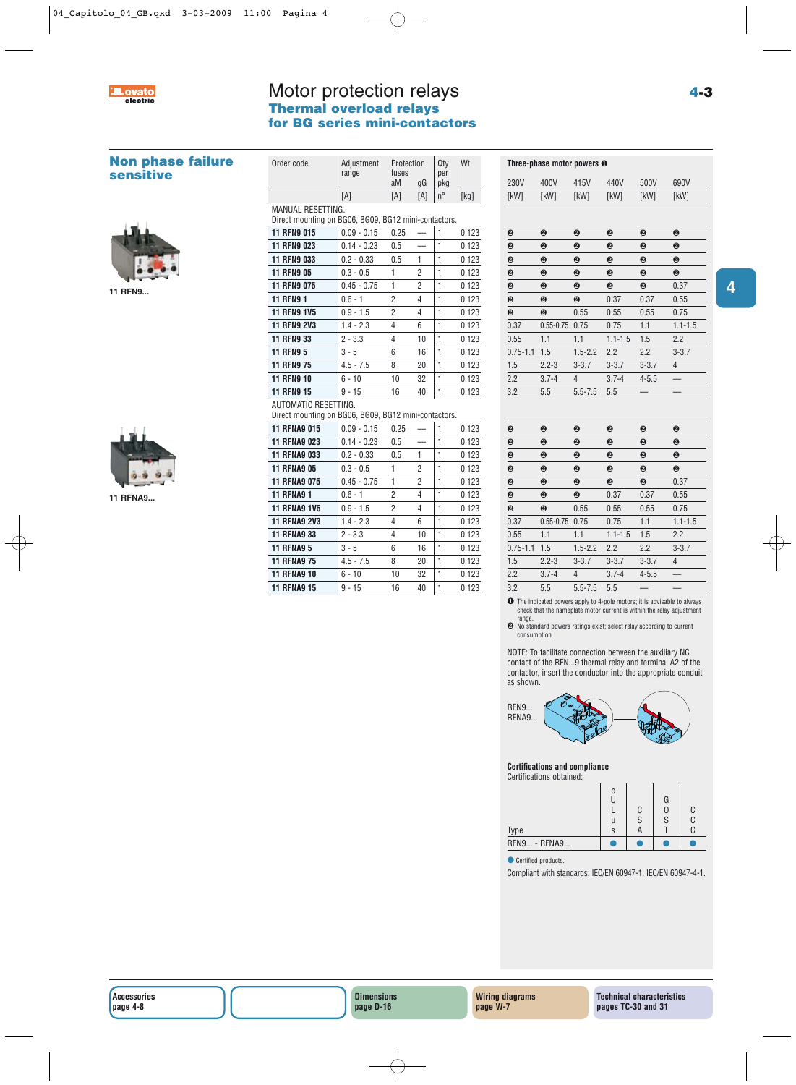

# Motor protection relays **Thermal overload relays for BG series mini-contactors**

| <b>Non phase failure</b><br><b>sensitive</b> | Order code                                                                | Adjustment<br>range                                                          | Protection<br>fuses      |                          | Qty<br>per   | Wt     |                       | Three-phase motor powers O |                |  |
|----------------------------------------------|---------------------------------------------------------------------------|------------------------------------------------------------------------------|--------------------------|--------------------------|--------------|--------|-----------------------|----------------------------|----------------|--|
|                                              |                                                                           |                                                                              | aM                       | gG                       | pkg          |        | 230V                  | 400V                       | 415V           |  |
|                                              |                                                                           | [A]                                                                          | [A]                      | [A]                      | $n^{\circ}$  | $[kg]$ | [kW]                  | [kW]                       | [kW]           |  |
|                                              | MANUAL RESETTING.<br>Direct mounting on BG06, BG09, BG12 mini-contactors. |                                                                              |                          |                          |              |        |                       |                            |                |  |
|                                              | <b>11 RFN9 015</b>                                                        | $0.09 - 0.15$                                                                | 0.25                     |                          | 1            | 0.123  | ❷                     | 0                          | 0              |  |
|                                              | <b>11 RFN9 023</b>                                                        | $0.14 - 0.23$                                                                | 0.5                      | $\overline{\phantom{0}}$ | 1            | 0.123  | ❷                     | ❷                          | ❷              |  |
|                                              | <b>11 RFN9 033</b>                                                        | $0.2 - 0.33$                                                                 | 0.5                      | 1                        | 1            | 0.123  | $\boldsymbol{\Theta}$ | $\boldsymbol{\Theta}$      | ❷              |  |
|                                              | <b>11 RFN9 05</b>                                                         | $0.3 - 0.5$                                                                  | 1                        | $\overline{2}$           | 1            | 0.123  | $\boldsymbol{\Theta}$ | 0                          | 0              |  |
| 11 RFN9                                      | <b>11 RFN9 075</b>                                                        | $0.45 - 0.75$                                                                | $\mathbf{1}$             | $\overline{2}$           | 1            | 0.123  | $\boldsymbol{\Theta}$ | $\boldsymbol{\Theta}$      | ❷              |  |
|                                              | <b>11 RFN9 1</b>                                                          | $0.6 - 1$                                                                    | $\overline{2}$           | 4                        | $\mathbf{1}$ | 0.123  | ❷                     | 0                          | ❷              |  |
|                                              | <b>11 RFN9 1V5</b>                                                        | $0.9 - 1.5$                                                                  | $\overline{2}$           | 4                        | 1            | 0.123  | ❷                     | ❷                          | 0.55           |  |
|                                              | <b>11 RFN9 2V3</b>                                                        | $1.4 - 2.3$                                                                  | 4                        | 6                        | $\mathbf{1}$ | 0.123  | 0.37                  | $0.55 - 0.75$ 0.75         |                |  |
|                                              | <b>11 RFN9 33</b>                                                         | $2 - 3.3$                                                                    | 4                        | 10                       | 1            | 0.123  | 0.55                  | 1.1                        | 1.1            |  |
|                                              | <b>11 RFN9 5</b>                                                          | $3 - 5$                                                                      | 6                        | 16                       | 1            | 0.123  | $0.75 - 1.1$ 1.5      |                            | $1.5 - 2.2$    |  |
|                                              | <b>11 RFN9 75</b>                                                         | $4.5 - 7.5$                                                                  | 8                        | 20                       | 1            | 0.123  | 1.5                   | $2.2 - 3$                  | $3 - 3.7$      |  |
|                                              | <b>11 RFN9 10</b>                                                         | $6 - 10$                                                                     | 10                       | 32                       | 1            | 0.123  | 2.2                   | $3.7 - 4$                  | $\overline{4}$ |  |
|                                              | <b>11 RFN9 15</b>                                                         | $9 - 15$                                                                     | 16                       | 40                       | 1            | 0.123  | 3.2                   | 5.5                        | $5.5 - 7.5$    |  |
|                                              |                                                                           | AUTOMATIC RESETTING.<br>Direct mounting on BG06, BG09, BG12 mini-contactors. |                          |                          |              |        |                       |                            |                |  |
|                                              | <b>11 RFNA9 015</b>                                                       | $0.09 - 0.15$                                                                | 0.25                     |                          | 1            | 0.123  | ❷                     | ❷                          | ❷              |  |
|                                              | <b>11 RFNA9 023</b>                                                       | $0.14 - 0.23$                                                                | 0.5                      | —                        | $\mathbf{1}$ | 0.123  | ❷                     | ❷                          | ❷              |  |
|                                              | <b>11 RFNA9 033</b>                                                       | $0.2 - 0.33$                                                                 | 0.5                      | 1                        | 1            | 0.123  | ❷                     | ❷                          | ❷              |  |
|                                              | <b>11 RFNA9 05</b>                                                        | $0.3 - 0.5$                                                                  | 1                        | $\overline{2}$           | $\mathbf{1}$ | 0.123  | $\boldsymbol{\Theta}$ | ❷                          | ❷              |  |
|                                              | <b>11 RFNA9 075</b>                                                       | $0.45 - 0.75$                                                                | 1                        | $\overline{c}$           | 1            | 0.123  | ❷                     | 0                          | ❷              |  |
| <b>11 RFNA9</b>                              | <b>11 RFNA9 1</b>                                                         | $0.6 - 1$                                                                    | $\overline{2}$           | 4                        | 1            | 0.123  | $\boldsymbol{\Theta}$ | 0                          | 0              |  |
|                                              | <b>11 RFNA9 1V5</b>                                                       | $0.9 - 1.5$                                                                  | $\overline{2}$           | 4                        | $\mathbf{1}$ | 0.123  | $\boldsymbol{\Theta}$ | ❷                          | 0.55           |  |
|                                              | <b>11 RFNA9 2V3</b>                                                       | $1.4 - 2.3$                                                                  | $\overline{\mathcal{L}}$ | 6                        | 1            | 0.123  | 0.37                  | $0.55 - 0.75$ 0.75         |                |  |
|                                              | <b>11 RFNA9 33</b>                                                        | $2 - 3.3$                                                                    | 4                        | 10                       | $\mathbf{1}$ | 0.123  | 0.55                  | 1.1                        | 1.1            |  |
|                                              | <b>11 RFNA9 5</b>                                                         | $3 - 5$                                                                      | 6                        | 16                       | 1            | 0.123  | $0.75 - 1.1$ 1.5      |                            | $1.5 - 2.2$    |  |
|                                              | <b>11 RFNA9 75</b>                                                        | $4.5 - 7.5$                                                                  | 8                        | 20                       | 1            | 0.123  | 1.5                   | $2.2 - 3$                  | $3 - 3.7$      |  |
|                                              | <b>11 RFNA9 10</b>                                                        | $6 - 10$                                                                     | 10                       | 32                       | 1            | 0.123  | 2.2                   | $3.7 - 4$                  | $\overline{4}$ |  |
|                                              | <b>11 RFNA9 15</b>                                                        | $9 - 15$                                                                     | 16                       | 40                       | $\mathbf{1}$ | 0.123  | 3.2                   | 5.5                        | $5.5 - 7.5$    |  |

| ❷            | ❷             | ❷           | ❷           | ❷         | ❷           |
|--------------|---------------|-------------|-------------|-----------|-------------|
|              |               |             |             |           |             |
| 3.2          | 5.5           | $5.5 - 7.5$ | 5.5         |           |             |
| 2.2          | $3.7 - 4$     | 4           | $3.7 - 4$   | $4 - 5.5$ |             |
| 1.5          | $2.2 - 3$     | $3 - 3.7$   | $3 - 3.7$   | $3 - 3.7$ | 4           |
| $0.75 - 1.1$ | 1.5           | $1.5 - 2.2$ | 2.2         | 2.2       | $3 - 3.7$   |
| 0.55         | 1.1           | 1.1         | $1.1 - 1.5$ | 1.5       | 2.2         |
| 0.37         | $0.55 - 0.75$ | 0.75        | 0.75        | 1.1       | $1.1 - 1.5$ |
| ❷            | ❷             | 0.55        | 0.55        | 0.55      | 0.75        |
| ❷            | ❷             | ❷           | 0.37        | 0.37      | 0.55        |
| ❷            | ❷             | ❷           | ❷           | ❷         | 0.37        |
| ❷            | ❷             | ❷           | ❷           | ❷         | ❷           |
| ❷            | ❷             | ❷           | ❷           | ❷         | ❷           |
| ❷            | ❷             | ❷           | ❷           | ❷         | ❷           |
| ❷            | ❷             | ❷           | ❷           | ❷         | ❷           |
|              |               |             |             |           |             |
| [kW]         | [kW]          | [kW]        | [kW]        | [kW]      | [kW]        |
| 230V         | 400V          | 415V        | 440V        | 500V      | 690V        |

| ❷         | ❷           | ❷             | ❷         | ❷           |
|-----------|-------------|---------------|-----------|-------------|
| ❷         | ❷           | ❷             | ❷         | ❷           |
| ❷         | ❷           | ❷             | ❷         | ❷           |
| ❷         | ❷           | ❷             | ❷         | ❷           |
| ❷         | ❷           | ❷             | ❷         | 0.37        |
| ❷         | 0           | 0.37          | 0.37      | 0.55        |
| ❷         | 0.55        | 0.55          | 0.55      | 0.75        |
|           | 0.75        | 0.75          | 1.1       | $1.1 - 1.5$ |
| 1.1       | 1.1         | $1.1 - 1.5$   | 1.5       | 2.2         |
| 1.5       | $1.5 - 2.2$ | 2.2           | 2.2       | $3 - 3.7$   |
| $2.2 - 3$ | $3 - 3.7$   | $3 - 3.7$     | $3 - 3.7$ | 4           |
| $3.7 - 4$ | 4           | $3.7 - 4$     | $4 - 5.5$ |             |
| 5.5       | $5.5 - 7.5$ | 5.5           |           |             |
|           |             | $0.55 - 0.75$ |           |             |

❶ The indicated powers apply to 4-pole motors; it is advisable to always check that the nameplate motor current is within the relay adjustment

range. ❷ No standard powers ratings exist; select relay according to current consumption.

NOTE: To facilitate connection between the auxiliary NC contact of the RFN...9 thermal relay and terminal A2 of the contactor, insert the conductor into the appropriate conduit as shown.



**Certifications and compliance** Certifications obtained:



● Certified products.

Compliant with standards: IEC/EN 60947-1, IEC/EN 60947-4-1.

**Accessories page 4-8**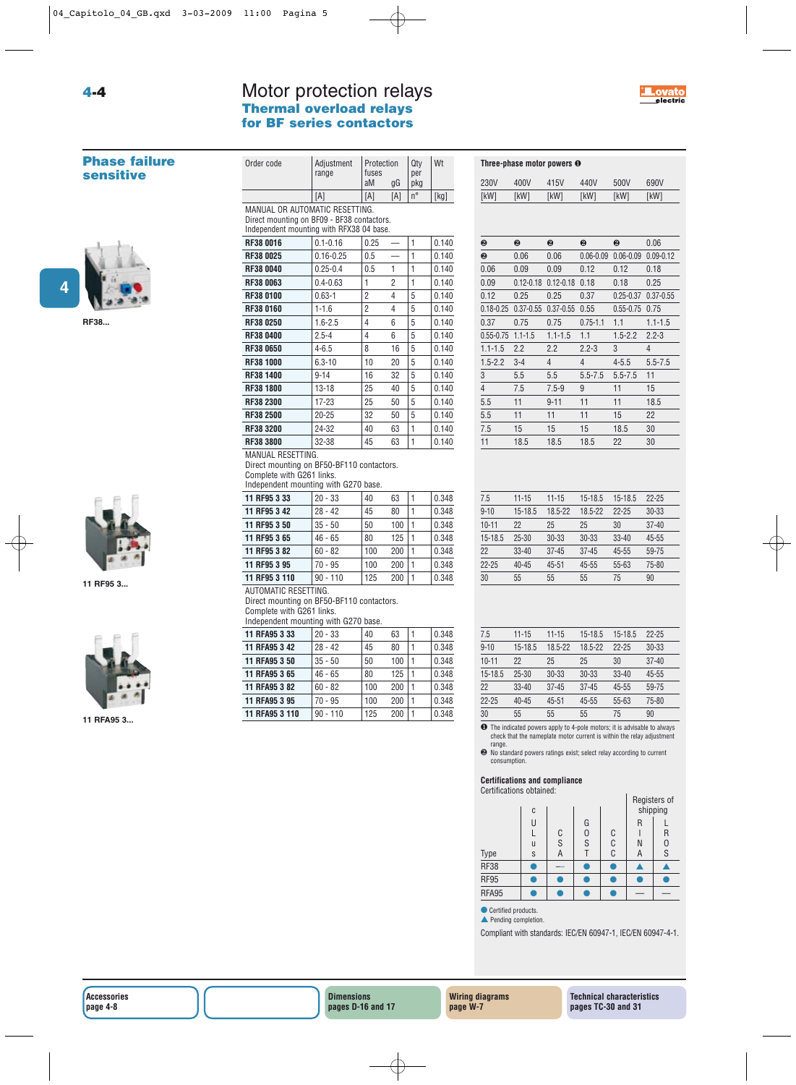## Motor protection relays<br>Thermal overload relays **Thermal overload relays for BF series contactors**



#### **Phase failure sensitive**

**RF38...**



**11 RF95 3...**



**11 RFA95 3...**

| i nermai overioad relays<br>for BF series contactors                                                                     |                     |                           |     |                   |       |  |  |  |  |
|--------------------------------------------------------------------------------------------------------------------------|---------------------|---------------------------|-----|-------------------|-------|--|--|--|--|
| Order code                                                                                                               | Adjustment<br>range | Protection<br>fuses<br>aM | gG  | Qty<br>per<br>pkg | Wt    |  |  |  |  |
|                                                                                                                          | [A]                 | [A]                       | [A] | $n^{\circ}$       | [kg]  |  |  |  |  |
| MANUAL OR AUTOMATIC RESETTING.<br>Direct mounting on BF09 - BF38 contactors.<br>Independent mounting with RFX38 04 base. |                     |                           |     |                   |       |  |  |  |  |
| RF38 0016                                                                                                                | $0.1 - 0.16$        | 0.25                      |     |                   | 0.140 |  |  |  |  |
| BEAR ARAE                                                                                                                | 0.4000              | $\sim$ $\sim$             |     |                   | 0.410 |  |  |  |  |

| <b>RF38 0025</b> | $0.16 - 0.25$ | 0.5 |    | 1 | 0.140 |
|------------------|---------------|-----|----|---|-------|
| RF38 0040        | $0.25 - 0.4$  | 0.5 | 1  | 1 | 0.140 |
| <b>RF38 0063</b> | $0.4 - 0.63$  | 1   | 2  | 1 | 0.140 |
| <b>RF38 0100</b> | $0.63 - 1$    | 2   | 4  | 5 | 0.140 |
| <b>RF38 0160</b> | $1 - 1.6$     | 2   | 4  | 5 | 0.140 |
| <b>RF38 0250</b> | $1.6 - 2.5$   | 4   | 6  | 5 | 0.140 |
| <b>RF38 0400</b> | $2.5 - 4$     | 4   | 6  | 5 | 0.140 |
| <b>RF38 0650</b> | $4 - 6.5$     | 8   | 16 | 5 | 0.140 |
| <b>RF38 1000</b> | $6.3 - 10$    | 10  | 20 | 5 | 0.140 |
| RF38 1400        | $9 - 14$      | 16  | 32 | 5 | 0.140 |
| <b>RF38 1800</b> | $13 - 18$     | 25  | 40 | 5 | 0.140 |
| <b>RF38 2300</b> | 17-23         | 25  | 50 | 5 | 0.140 |
| <b>RF38 2500</b> | $20 - 25$     | 32  | 50 | 5 | 0.140 |
| <b>RF38 3200</b> | 24-32         | 40  | 63 | 1 | 0.140 |
| <b>RF38 3800</b> | 32-38         | 45  | 63 | 1 | 0.140 |

#### MANUAL RESETTING.

Direct mounting on BF50-BF110 contactors. Complete with G261 links. Independent mounting with G270 base.

| 11 RF95 3 33  | $20 - 33$  | 40  | 63  | 0.348 |
|---------------|------------|-----|-----|-------|
| 11 RF95 3 42  | $28 - 42$  | 45  | 80  | 0.348 |
| 11 RF95 3 50  | $35 - 50$  | 50  | 100 | 0.348 |
| 11 RF95 3 65  | $46 - 65$  | 80  | 125 | 0.348 |
| 11 RF95 3 82  | $60 - 82$  | 100 | 200 | 0.348 |
| 11 RF95 3 95  | $70 - 95$  | 100 | 200 | 0.348 |
| 11 RF95 3 110 | $90 - 110$ | 125 | 200 | 0.348 |
|               |            |     |     |       |

AUTOMATIC RESETTING. Direct mounting on BF50-BF110 contactors.

Complete with G261 links. Independent mounting with G270 base.

| 11 RFA95 3 33  | $20 - 33$  | 40  | 63  | $\mathbf{1}$ | 0.348 |
|----------------|------------|-----|-----|--------------|-------|
| 11 RFA95 3 42  | $28 - 42$  | 45  | 80  | $\mathbf{1}$ | 0.348 |
| 11 RFA95 3 50  | $35 - 50$  | 50  | 100 | $\mathbf{1}$ | 0.348 |
| 11 RFA95 3 65  | $46 - 65$  | 80  | 125 | $\mathbf{1}$ | 0.348 |
| 11 RFA95 3 82  | $60 - 82$  | 100 | 200 | 1            | 0.348 |
| 11 RFA95 3 95  | $70 - 95$  | 100 | 200 | $\mathbf{1}$ | 0.348 |
| 11 RFA95 3 110 | $90 - 110$ | 125 | 200 |              | 0.348 |
|                |            |     |     |              |       |

| 400V          | 415V           | 440V           | 500V          | 690V          |
|---------------|----------------|----------------|---------------|---------------|
| [kW]          | [kW]           | [kW]           | [kW]          | [kW]          |
|               |                |                |               |               |
| ❷             | ❷              | ❷              | ❷             | 0.06          |
| 0.06          | 0.06           | $0.06 - 0.09$  | $0.06 - 0.09$ | $0.09 - 0.12$ |
| 0.09          | 0.09           | 0.12           | 0.12          | 0.18          |
| $0.12 - 0.18$ | $0.12 - 0.18$  | 0.18           | 0.18          | 0.25          |
| 0.25          | 0.25           | 0.37           | $0.25 - 0.37$ | $0.37 - 0.55$ |
| $0.37 - 0.55$ | $0.37 - 0.55$  | 0.55           | $0.55 - 0.75$ | 0.75          |
| 0.75          | 0.75           | $0.75 - 1.1$   | 1.1           | $1.1 - 1.5$   |
| $1.1 - 1.5$   | $1.1 - 1.5$    | 1.1            | $1.5 - 2.2$   | $2.2 - 3$     |
| 2.2           | 2.2            | $2.2 - 3$      | 3             | 4             |
| $3 - 4$       | $\overline{4}$ | $\overline{4}$ | $4 - 5.5$     | $5.5 - 7.5$   |
| 5.5           | 5.5            | $5.5 - 7.5$    | $5.5 - 7.5$   | 11            |
| 7.5           | $7.5 - 9$      | 9              | 11            | 15            |
| 11            | $9 - 11$       | 11             | 11            | 18.5          |
| 11            | 11             | 11             | 15            | 22            |
| 15            | 15             | 15             | 18.5          | 30            |
| 18.5          | 18.5           | 18.5           | 22            | 30            |
|               |                |                |               |               |

**Three-phase motor powers** ❶

| 7.5       | $11 - 15$ | $11 - 15$ | $15 - 18.5$ | 15-18.5   | $22 - 25$ |
|-----------|-----------|-----------|-------------|-----------|-----------|
| $9 - 10$  | 15-18.5   | 18.5-22   | 18.5-22     | $22 - 25$ | $30 - 33$ |
| $10 - 11$ | 22        | 25        | 25          | 30        | $37 - 40$ |
| 15-18.5   | $25 - 30$ | $30 - 33$ | $30 - 33$   | $33 - 40$ | $45 - 55$ |
| 22        | $33 - 40$ | $37 - 45$ | $37 - 45$   | $45 - 55$ | 59-75     |
| $22 - 25$ | $40 - 45$ | $45 - 51$ | $45 - 55$   | $55 - 63$ | 75-80     |
| 30        | 55        | 55        | 55          | 75        | 90        |

| 7.5       | $11 - 15$ | $11 - 15$ | $15 - 18.5$ | $15 - 18.5$ | $22 - 25$ |
|-----------|-----------|-----------|-------------|-------------|-----------|
| $9 - 10$  | 15-18.5   | 18.5-22   | 18.5-22     | $22 - 25$   | $30 - 33$ |
| $10 - 11$ | 22        | 25        | 25          | 30          | $37 - 40$ |
| 15-18.5   | $25 - 30$ | $30 - 33$ | $30 - 33$   | $33 - 40$   | $45 - 55$ |
| 22        | $33 - 40$ | $37 - 45$ | $37 - 45$   | $45 - 55$   | 59-75     |
| $22 - 25$ | $40 - 45$ | $45 - 51$ | $45 - 55$   | $55 - 63$   | 75-80     |
| 30        | 55        | 55        | 55          | 75          | 90        |

❶ The indicated powers apply to 4-pole motors; it is advisable to always check that the nameplate motor current is within the relay adjustment

range. ❷ No standard powers ratings exist; select relay according to current consumption.

#### **Certifications and compliance**

Certifications obtained:

| <u>ou modhono obtaniva.</u> | C           |             |             |             | shipping    | Registers of           |
|-----------------------------|-------------|-------------|-------------|-------------|-------------|------------------------|
| Type                        | U<br>u<br>S | C<br>S<br>Α | G<br>0<br>S | C<br>C<br>C | R<br>N<br>А | R<br>$\mathbf{0}$<br>S |
| <b>RF38</b>                 |             |             |             |             |             |                        |
| <b>RF95</b>                 |             |             |             |             |             |                        |
| RFA95                       |             |             |             |             |             |                        |
|                             |             |             |             |             |             |                        |

● Certified products. ▲ Pending completion.

Compliant with standards: IEC/EN 60947-1, IEC/EN 60947-4-1.

**4-4**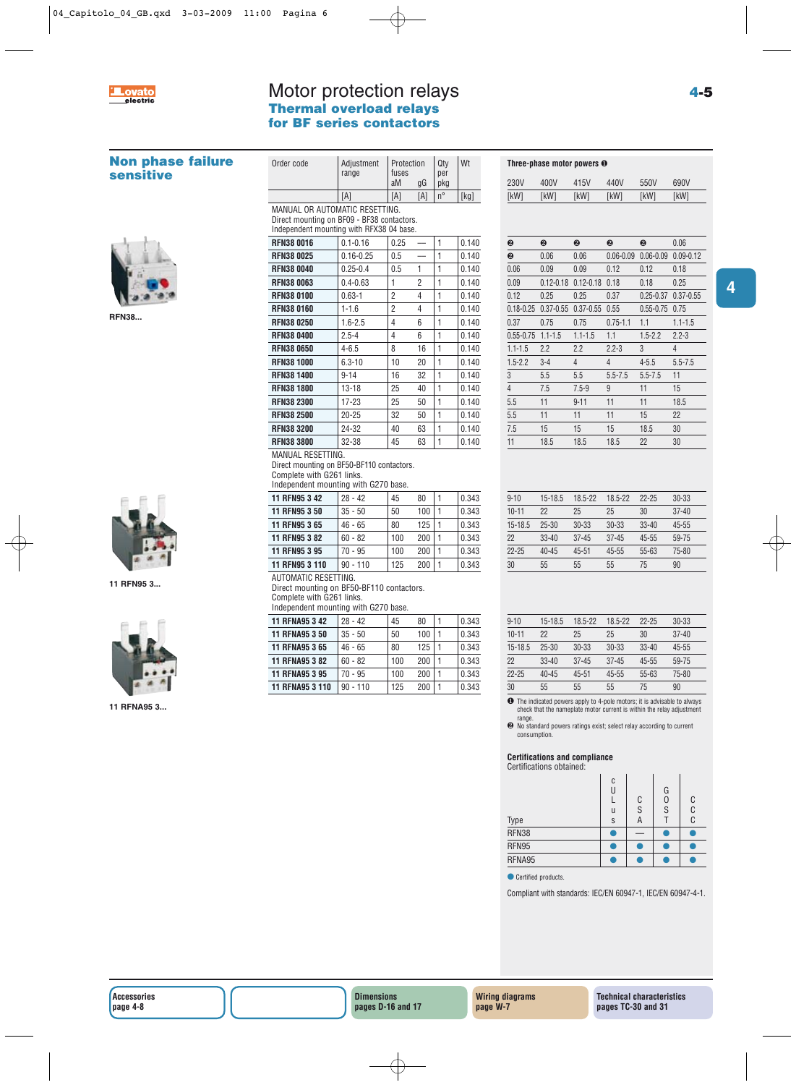

## Motor protection relays **Thermal overload relays for BF series contactors**

| <b>Non phase failure</b><br><b>sensitive</b> | Order code                                                                                                                          | Adjustment<br>range    | Protection<br>fuses |                          | Qty<br>per   | Wt             |                        |                          | Three-phase motor powers $\boldsymbol{\Theta}$                                                                                                                                                    |                        |                                 |                |  |
|----------------------------------------------|-------------------------------------------------------------------------------------------------------------------------------------|------------------------|---------------------|--------------------------|--------------|----------------|------------------------|--------------------------|---------------------------------------------------------------------------------------------------------------------------------------------------------------------------------------------------|------------------------|---------------------------------|----------------|--|
|                                              |                                                                                                                                     |                        | aM                  | gG                       | pkg          |                | 230V                   | 400V                     | 415V                                                                                                                                                                                              | 440V                   | 550V                            | 690V           |  |
|                                              |                                                                                                                                     | [A]                    | [A]                 | $[{\sf A}]$              | $n^{\circ}$  | $[kg]$         | [kW]                   | [kW]                     | [kW]                                                                                                                                                                                              | [kW]                   | [kW]                            | [kW]           |  |
|                                              | MANUAL OR AUTOMATIC RESETTING.                                                                                                      |                        |                     |                          |              |                |                        |                          |                                                                                                                                                                                                   |                        |                                 |                |  |
|                                              | Direct mounting on BF09 - BF38 contactors.<br>Independent mounting with RFX38 04 base.                                              |                        |                     |                          |              |                |                        |                          |                                                                                                                                                                                                   |                        |                                 |                |  |
|                                              | <b>RFN38 0016</b>                                                                                                                   | $0.1 - 0.16$           | 0.25                | $\qquad \qquad -$        | 1            | 0.140          | ❷                      | ❷                        | ❷                                                                                                                                                                                                 | ❷                      | ❷                               | 0.06           |  |
|                                              | <b>RFN38 0025</b>                                                                                                                   | $0.16 - 0.25$          | 0.5                 | $\overline{\phantom{m}}$ | 1            | 0.140          | ❷                      | 0.06                     | 0.06                                                                                                                                                                                              |                        | 0.06-0.09  0.06-0.09  0.09-0.12 |                |  |
|                                              | <b>RFN38 0040</b>                                                                                                                   | $0.25 - 0.4$           | 0.5                 | 1                        | 1            | 0.140          | 0.06                   | 0.09                     | 0.09                                                                                                                                                                                              | 0.12                   | 0.12                            | 0.18           |  |
|                                              | <b>RFN38 0063</b>                                                                                                                   | $0.4 - 0.63$           | $\mathbf{1}$        | 2                        | 1            | 0.140          | 0.09                   |                          | 0.12-0.18 0.12-0.18 0.18                                                                                                                                                                          |                        | 0.18                            | 0.25           |  |
|                                              | <b>RFN38 0100</b>                                                                                                                   | $0.63 - 1$             | $\overline{2}$      | $\overline{4}$           | 1            | 0.140          | 0.12                   | 0.25                     | 0.25                                                                                                                                                                                              | 0.37                   | 0.25-0.37 0.37-0.55             |                |  |
|                                              | <b>RFN38 0160</b>                                                                                                                   | $1 - 1.6$              | $\overline{2}$      | $\overline{4}$           | 1            | 0.140          |                        |                          | 0.18-0.25 0.37-0.55 0.37-0.55 0.55                                                                                                                                                                |                        | $0.55 - 0.75$ 0.75              |                |  |
| <b>RFN38</b>                                 | <b>RFN38 0250</b>                                                                                                                   | $1.6 - 2.5$            | $\overline{4}$      | 6                        | 1            | 0.140          | 0.37                   | 0.75                     | 0.75                                                                                                                                                                                              | $0.75 - 1.1$           | 1.1                             | $1.1 - 1.5$    |  |
|                                              | <b>RFN38 0400</b>                                                                                                                   | $2.5 - 4$              | $\overline{4}$      | 6                        | 1            | 0.140          | $0.55 - 0.75$ 1.1-1.5  |                          | $1.1 - 1.5$                                                                                                                                                                                       | 1.1                    | $1.5 - 2.2$                     | $2.2 - 3$      |  |
|                                              | <b>RFN38 0650</b>                                                                                                                   | $4 - 6.5$              | 8                   | 16                       | 1            | 0.140          | $1.1 - 1.5$            | 2.2                      | 2.2                                                                                                                                                                                               | $2.2 - 3$              | 3                               | $\overline{4}$ |  |
|                                              | <b>RFN38 1000</b>                                                                                                                   | $6.3 - 10$             | 10                  | 20                       | 1            | 0.140          | $1.5 - 2.2$            | $3-4$                    | $\overline{4}$                                                                                                                                                                                    | $\overline{4}$         | $4 - 5.5$                       | $5.5 - 7.5$    |  |
|                                              | <b>RFN38 1400</b>                                                                                                                   | $9 - 14$               | 16                  | 32                       | 1            | 0.140          | 3                      | 5.5                      | 5.5                                                                                                                                                                                               | $5.5 - 7.5$            | $5.5 - 7.5$                     | 11             |  |
|                                              | <b>RFN38 1800</b>                                                                                                                   | $13 - 18$              | 25                  | 40                       | 1            | 0.140          | $\overline{4}$         | 7.5                      | $7.5 - 9$                                                                                                                                                                                         | 9                      | 11                              | 15             |  |
|                                              | <b>RFN38 2300</b>                                                                                                                   | $17 - 23$              | 25                  | 50                       | 1            | 0.140          | 5.5                    | 11                       | $9 - 11$                                                                                                                                                                                          | 11                     | 11                              | 18.5           |  |
|                                              | <b>RFN38 2500</b>                                                                                                                   | $20 - 25$              | 32                  | 50                       | 1            | 0.140          | 5.5                    | 11                       | 11                                                                                                                                                                                                | 11                     | 15                              | 22             |  |
|                                              | <b>RFN38 3200</b>                                                                                                                   | 24-32                  | 40                  | 63                       | 1            | 0.140          | 7.5                    | 15                       | 15                                                                                                                                                                                                | 15                     | 18.5                            | 30             |  |
|                                              | <b>RFN38 3800</b>                                                                                                                   | 32-38                  | 45                  | 63                       | 1            | 0.140          | 11                     | 18.5                     | 18.5                                                                                                                                                                                              | 18.5                   | 22                              | 30             |  |
|                                              | MANUAL RESETTING.<br>Direct mounting on BF50-BF110 contactors.<br>Complete with G261 links.<br>Independent mounting with G270 base. |                        |                     |                          |              |                |                        |                          |                                                                                                                                                                                                   |                        |                                 |                |  |
|                                              | 11 RFN95 3 42                                                                                                                       | $28 - 42$              | 45                  | 80                       | 1            | 0.343          | $9 - 10$               | $15 - 18.5$              | 18.5-22                                                                                                                                                                                           | 18.5-22                | $22 - 25$                       | $30 - 33$      |  |
|                                              | 11 RFN95 3 50                                                                                                                       | $35 - 50$              | 50                  | 100                      | $\mathbf{1}$ | 0.343          | $10 - 11$              | 22                       | 25                                                                                                                                                                                                | 25                     | 30                              | $37 - 40$      |  |
|                                              | 11 RFN95 3 65                                                                                                                       | $46 - 65$              | 80                  | 125                      | 1            | 0.343          | 15-18.5                | $25 - 30$                | $30 - 33$                                                                                                                                                                                         | 30-33                  | $33 - 40$                       | $45 - 55$      |  |
|                                              | 11 RFN95 3 82                                                                                                                       | $60 - 82$              | 100                 | 200                      | 1            | 0.343          | 22                     | $33 - 40$                | $37 - 45$                                                                                                                                                                                         | $37 - 45$              | $45 - 55$                       | 59-75          |  |
|                                              | 11 RFN95 3 95                                                                                                                       | $70 - 95$              | 100                 | 200                      | 1            | 0.343          | $22 - 25$              | $40 - 45$                | $45 - 51$                                                                                                                                                                                         | 45-55                  | $55 - 63$                       | 75-80          |  |
|                                              | 11 RFN95 3 110<br>AUTOMATIC RESETTING.                                                                                              | $90 - 110$             | 125                 | 200                      | 1            | 0.343          | 30                     | 55                       | 55                                                                                                                                                                                                | 55                     | 75                              | 90             |  |
| 11 RFN95 3                                   | Direct mounting on BF50-BF110 contactors.<br>Complete with G261 links.<br>Independent mounting with G270 base.                      |                        |                     |                          |              |                |                        |                          |                                                                                                                                                                                                   |                        |                                 |                |  |
|                                              | 11 RFNA95 3 42                                                                                                                      | $28 - 42$              | 45                  | 80                       | 1            | 0.343          | $9 - 10$               | 15-18.5                  | 18.5-22                                                                                                                                                                                           | 18.5-22                | $22 - 25$                       | $30 - 33$      |  |
|                                              | 11 RFNA95 3 50                                                                                                                      | $35 - 50$              | 50                  | 100                      | $\mathbf{1}$ | 0.343          | $10 - 11$              | 22                       | 25                                                                                                                                                                                                | 25                     | 30                              | $37 - 40$      |  |
|                                              | 11 RFNA95 3 65                                                                                                                      | $46 - 65$              | 80                  | 125                      | 1<br>1       | 0.343          | $15 - 18.5$            | $25 - 30$                | $30 - 33$                                                                                                                                                                                         | 30-33                  | $33 - 40$                       | $45 - 55$      |  |
|                                              | 11 RFNA95 3 82<br>11 RFNA95 3 95                                                                                                    | $60 - 82$<br>$70 - 95$ | 100<br>100          | 200<br>200               | $\mathbf{1}$ | 0.343<br>0.343 | 22<br>$22 - 25$        | $33 - 40$<br>$40 - 45$   | $37 - 45$<br>$45 - 51$                                                                                                                                                                            | $37 - 45$<br>$45 - 55$ | $45 - 55$<br>55-63              | 59-75<br>75-80 |  |
|                                              | <b>11 RFNA95 3 110</b>                                                                                                              | $90 - 110$             | 125                 | 200                      | 1            | 0.343          | 30                     | 55                       | 55                                                                                                                                                                                                | 55                     | 75                              | 90             |  |
|                                              |                                                                                                                                     |                        |                     |                          |              |                |                        |                          | <b>O</b> The indicated powers apply to 4-pole motors; it is advisable to always                                                                                                                   |                        |                                 |                |  |
| 11 RFNA95 3                                  |                                                                                                                                     |                        |                     |                          |              |                | range.<br>consumption. | Certifications obtained: | check that the nameplate motor current is within the relay adjustment<br><sup>●</sup> No standard powers ratings exist; select relay according to current<br><b>Certifications and compliance</b> |                        |                                 |                |  |
|                                              |                                                                                                                                     |                        |                     |                          |              |                |                        |                          |                                                                                                                                                                                                   | C<br>U                 | G                               |                |  |
|                                              |                                                                                                                                     |                        |                     |                          |              |                |                        |                          |                                                                                                                                                                                                   | L<br>u                 | 0<br>C<br>S<br>S                | C<br>C         |  |
|                                              |                                                                                                                                     |                        |                     |                          |              |                | Type                   |                          |                                                                                                                                                                                                   | S                      | Τ<br>A                          | C              |  |
|                                              |                                                                                                                                     |                        |                     |                          |              |                | RFN38                  |                          |                                                                                                                                                                                                   | $\bullet$              | $\bullet$                       |                |  |
|                                              |                                                                                                                                     |                        |                     |                          |              |                | RFN95                  |                          |                                                                                                                                                                                                   | $\bullet$              | $\bullet$<br>$\bullet$          |                |  |
|                                              |                                                                                                                                     |                        |                     |                          |              |                | RFNA95                 |                          |                                                                                                                                                                                                   | ∩                      | ●                               |                |  |
|                                              |                                                                                                                                     |                        |                     |                          |              |                | Certified products.    |                          |                                                                                                                                                                                                   |                        |                                 |                |  |
|                                              |                                                                                                                                     |                        |                     |                          |              |                |                        |                          | Compliant with standards: IEC/EN 60947-1, IEC/EN 60947-4-1.                                                                                                                                       |                        |                                 |                |  |

**4**



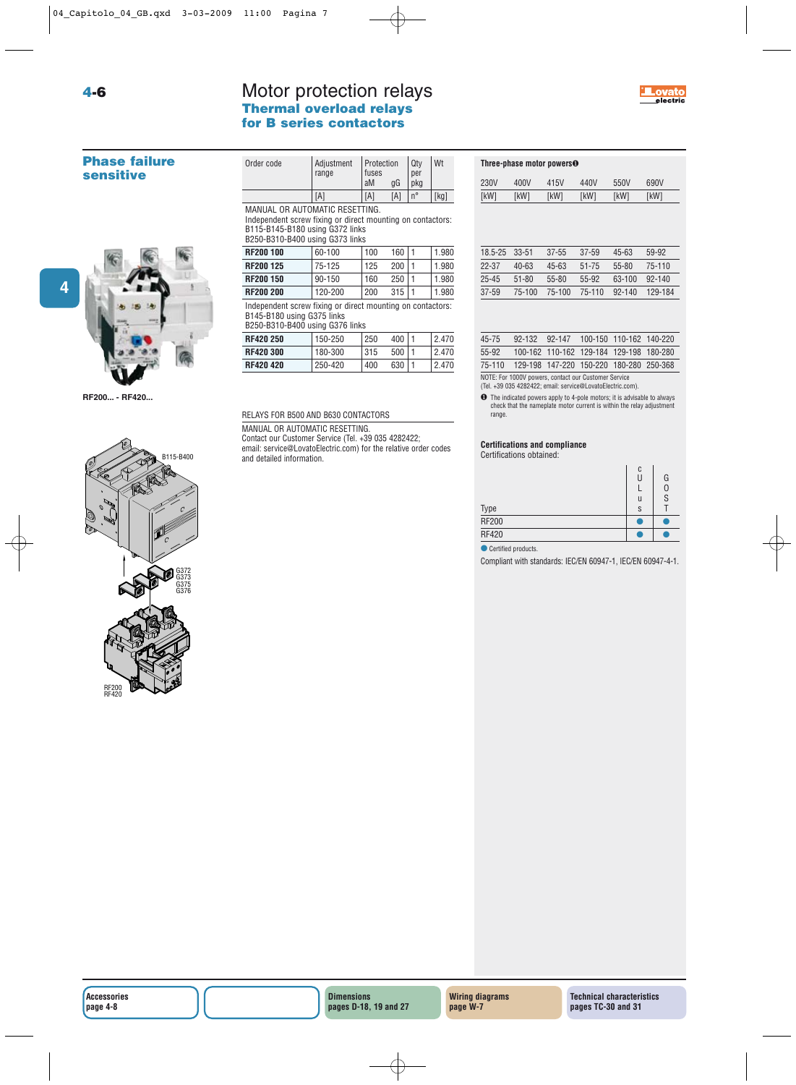### Motor protection relays **Thermal overload relays for B series contactors**



#### **Phase failure sensitive**

**4-6**



**RF200... - RF420...**



| Order code                                                                                                                                                         | Adjustment<br>range | Protection<br>fuses<br>aM | qG  | Qty<br>per<br>pkg | Wt   |
|--------------------------------------------------------------------------------------------------------------------------------------------------------------------|---------------------|---------------------------|-----|-------------------|------|
|                                                                                                                                                                    | [A]                 | [A]                       | [A] | $n^{\circ}$       | [kg] |
| MANUAL OR AUTOMATIC RESETTING.<br>Independent screw fixing or direct mounting on contactors:<br>B115-B145-B180 using G372 links<br>B250-B310-B400 using G373 links |                     |                           |     |                   |      |

| <b>RF200 100</b>                                           | 60-100  | 100 | 160 |  | 1.980 |  |
|------------------------------------------------------------|---------|-----|-----|--|-------|--|
| <b>RF200 125</b>                                           | 75-125  | 125 | 200 |  | 1.980 |  |
| RF200 150                                                  | 90-150  | 160 | 250 |  | 1.980 |  |
| <b>RF200 200</b>                                           | 120-200 | 200 | 315 |  | 1.980 |  |
| Independent screw fixing or direct mounting on contactors: |         |     |     |  |       |  |

B145-B180 using G375 links

RELAYS FOR B500 AND B630 CONTACTORS MANUAL OR AUTOMATIC RESETTING.

and detailed information.

Contact our Customer Service (Tel. +39 035 4282422; email: service@LovatoElectric.com) for the relative order codes

| B250-B310-B400 using G376 links |         |     |     |  |       |  |  |
|---------------------------------|---------|-----|-----|--|-------|--|--|
| <b>RF420 250</b>                | 150-250 | 250 | 400 |  | 2.470 |  |  |
| <b>RF420 300</b>                | 180-300 | 315 | 500 |  | 2.470 |  |  |
| <b>RF420 420</b>                | 250-420 | 400 | 630 |  | 2.470 |  |  |
|                                 |         |     |     |  |       |  |  |

**Three-phase motor powers**❶

| 230V      | 400V      | 415V   | 440V      | 550V       | 690V    |
|-----------|-----------|--------|-----------|------------|---------|
| [kW]      | [kW]      | [kW]   | [kW]      | [kW]       | [kW]    |
|           |           |        |           |            |         |
|           |           |        |           |            |         |
|           |           |        |           |            |         |
| 18.5-25   | $33 - 51$ | 37-55  | $37 - 59$ | 45-63      | 59-92   |
| $22 - 37$ | $40 - 63$ | 45-63  | $51 - 75$ | $55 - 80$  | 75-110  |
| $25 - 45$ | $51 - 80$ | 55-80  | 55-92     | 63-100     | 92-140  |
| 37-59     | 75-100    | 75-100 | 75-110    | $92 - 140$ | 129-184 |
|           |           |        |           |            |         |

| 45-75  |                                                      | 92-132 92-147 100-150 110-162 140-220   |  |
|--------|------------------------------------------------------|-----------------------------------------|--|
| 55-92  |                                                      | 100-162 110-162 129-184 129-198 180-280 |  |
| 75-110 |                                                      | 129-198 147-220 150-220 180-280 250-368 |  |
|        | NOTE: For 1000V powers, contact our Customer Service |                                         |  |

NOTE: For 1000V powers, contact our Customer Service (Tel. +39 035 4282422; email: service@LovatoElectric.com).

❶ The indicated powers apply to 4-pole motors; it is advisable to always check that the nameplate motor current is within the relay adjustment range.

**Certifications and compliance**

Certifications obtained:

| <b>Type</b>  | C<br>U<br>S | G<br>S |
|--------------|-------------|--------|
| <b>RF200</b> |             |        |
| <b>RF420</b> |             |        |

● Certified products.

Compliant with standards: IEC/EN 60947-1, IEC/EN 60947-4-1.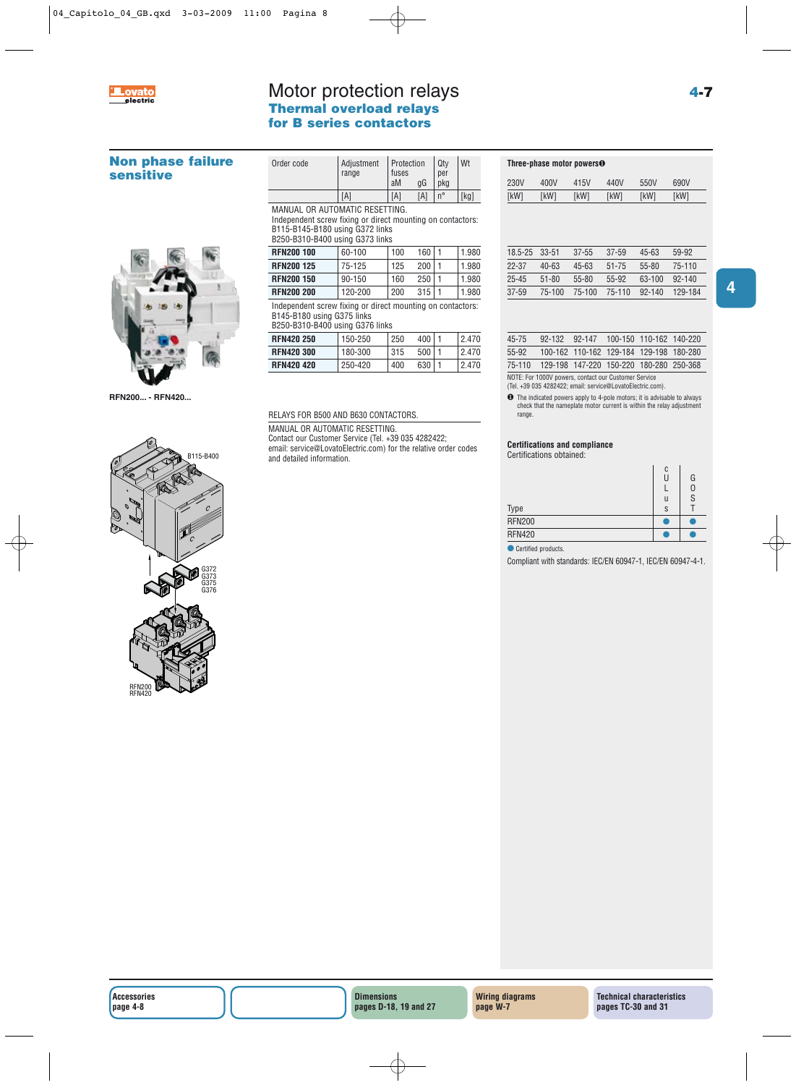

**sensitive**

## Motor protection relays **Thermal overload relays for B series contactors**

**Non phase failure**

**RFN200... - RFN420...**

|                                                                                                                                                                    | range   | fuses<br>aM | gG  | per<br>pkg  |       |
|--------------------------------------------------------------------------------------------------------------------------------------------------------------------|---------|-------------|-----|-------------|-------|
|                                                                                                                                                                    | [A]     | [A]         | [A] | $n^{\circ}$ | [kg]  |
|                                                                                                                                                                    |         |             |     |             |       |
| MANUAL OR AUTOMATIC RESETTING.<br>Independent screw fixing or direct mounting on contactors:<br>B115-B145-B180 using G372 links<br>B250-B310-B400 using G373 links |         |             |     |             |       |
| <b>RFN200 100</b>                                                                                                                                                  | 60-100  | 100         | 160 | 1           | 1.980 |
| <b>RFN200 125</b>                                                                                                                                                  | 75-125  | 125         | 200 | 1           | 1.980 |
| <b>RFN200 150</b>                                                                                                                                                  | 90-150  | 160         | 250 | 1           | 1.980 |
| <b>RFN200 200</b>                                                                                                                                                  | 120-200 | 200         | 315 | 1           | 1.980 |

Order code | Adjustment | Protection | Qty | Wt

Independent screw fixing or direct mounting on contactors: B145-B180 using G375 links

| B250-B310-B400 using G376 links |         |     |     |  |       |  |  |
|---------------------------------|---------|-----|-----|--|-------|--|--|
| <b>RFN420 250</b>               | 150-250 | 250 | 400 |  | 2.470 |  |  |
| <b>RFN420 300</b>               | 180-300 | 315 | 500 |  | 2470  |  |  |
| <b>RFN420420</b>                | 250-420 | 400 | 630 |  | 2.470 |  |  |

RELAYS FOR B500 AND B630 CONTACTORS. MANUAL OR AUTOMATIC RESETTING.

and detailed information.

Contact our Customer Service (Tel. +39 035 4282422; email: service@LovatoElectric.com) for the relative order codes

| 1.980  | 18.5-25   | -33-51    | $37 - 55$ | $37 - 59$ |
|--------|-----------|-----------|-----------|-----------|
| 1.980  | $22 - 37$ | $40 - 63$ | $45 - 63$ | $51 - 75$ |
| 1.980  | $25 - 45$ | $51 - 80$ | $55 - 80$ | 55-92     |
| 1.980  | $37 - 59$ | 75-100    | 75-100    | $75 - 11$ |
| :tors: |           |           |           |           |

**Three-phase motor powers**❶

| 45-75                                                                                                                                                   |                                                |  |  | 92-132 92-147 100-150 110-162 140-220   |  |
|---------------------------------------------------------------------------------------------------------------------------------------------------------|------------------------------------------------|--|--|-----------------------------------------|--|
| 55-92                                                                                                                                                   |                                                |  |  | 100-162 110-162 129-184 129-198 180-280 |  |
|                                                                                                                                                         | 75-110 129-198 147-220 150-220 180-280 250-368 |  |  |                                         |  |
| NOTE: For 1000V powers, contact our Customer Service<br>$(T-1)$ 00.005 4000400 $\cdots$ $T$ $\cdots$ $\odot$ $\odot$ $1$ $\cdots$ $T$ $\cdots$ $\cdots$ |                                                |  |  |                                         |  |

230V 400V 415V 440V 550V 690V [kW] [kW] [kW] [kW] [kW] [kW]

(Tel. +39 035 4282422; email: service@LovatoElectric.com).

❶ The indicated powers apply to 4-pole motors; it is advisable to always check that the nameplate motor current is within the relay adjustment range.

**Certifications and compliance**

Certifications obtained:

| Type          | C<br>u<br>S                                                                                                           | G<br>S |
|---------------|-----------------------------------------------------------------------------------------------------------------------|--------|
| <b>RFN200</b> | <b>Contract Contract Contract Contract Contract Contract Contract Contract Contract Contract Contract Contract Co</b> |        |
| <b>RFN420</b> |                                                                                                                       |        |

● Certified products.

Compliant with standards: IEC/EN 60947-1, IEC/EN 60947-4-1.



18.5-25 33-51 37-55 37-59 45-63 59-92 55-80 75-110 63-100 92-140 92-140 129-184

**4**

**Wiring diagrams page W-7**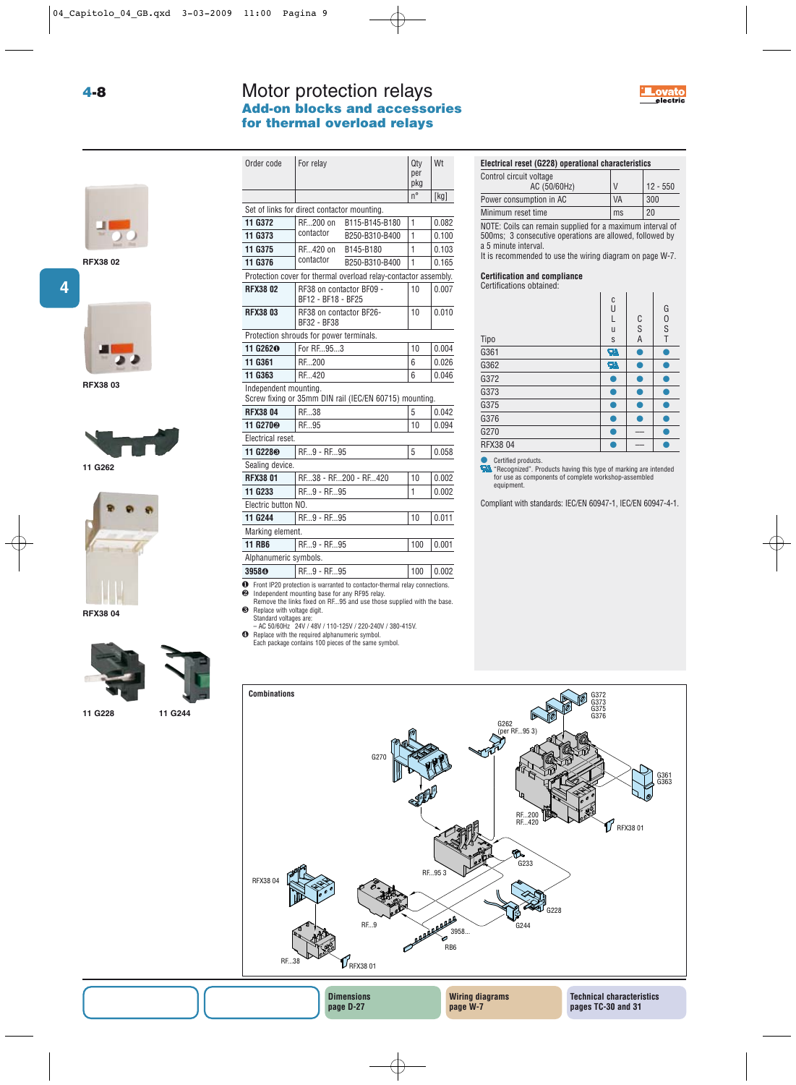# Motor protection relays **Add-on blocks and accessories for thermal overload relays**





**RFX38 02**



**RFX38 03**







**11 G228 11 G244**

| 11 G244 |
|---------|
|         |
|         |

| Order code                                  | For relay                              |                                                                 | Qty<br>per<br>pkg | Wt    |
|---------------------------------------------|----------------------------------------|-----------------------------------------------------------------|-------------------|-------|
|                                             |                                        |                                                                 | $n^{\circ}$       | [kg]  |
| Set of links for direct contactor mounting. |                                        |                                                                 |                   |       |
| 11 G372                                     | RF200 on                               | B115-B145-B180                                                  | 1                 | 0.082 |
| 11 G373                                     | contactor                              | B250-B310-B400                                                  | 1                 | 0.100 |
| 11 G375                                     | RF420 on                               | B145-B180                                                       | 1                 | 0.103 |
| 11 G376                                     | contactor                              | B250-B310-B400                                                  | 1                 | 0.165 |
|                                             |                                        | Protection cover for thermal overload relay-contactor assembly. |                   |       |
| <b>RFX3802</b>                              | BF12 - BF18 - BF25                     | RF38 on contactor BF09 -                                        | 10                | 0.007 |
| <b>RFX3803</b>                              | RF38 on contactor BF26-<br>BF32 - BF38 |                                                                 | 10                | 0.010 |
| Protection shrouds for power terminals.     |                                        |                                                                 |                   |       |
| 11 G262 <sup>O</sup>                        | For RF953                              |                                                                 | 10                | 0.004 |
| 11 G361                                     | RF200                                  |                                                                 | 6                 | 0.026 |
| 11 G363                                     | RF420                                  |                                                                 | 6                 | 0.046 |
| Independent mounting.                       |                                        | Screw fixing or 35mm DIN rail (IEC/EN 60715) mounting.          |                   |       |
| <b>RFX38 04</b>                             | RF38                                   |                                                                 | 5                 | 0.042 |
| 11 G270 <sup>®</sup>                        | RF.,95                                 |                                                                 | 10                | 0.094 |
| Electrical reset.                           |                                        |                                                                 |                   |       |
| 11 G228 <sup>®</sup>                        | RE9 - RE95                             |                                                                 | 5                 | 0.058 |
| Sealing device.                             |                                        |                                                                 |                   |       |
| <b>RFX3801</b>                              |                                        | RE38 - RE200 - RE420                                            | 10                | 0.002 |
| 11 G233                                     | RF9 - RF95                             |                                                                 | 1                 | 0.002 |
| Electric button NO.                         |                                        |                                                                 |                   |       |
| 11 G244                                     | RF9 - RF95                             |                                                                 | 10                | 0.011 |
| Marking element.                            |                                        |                                                                 |                   |       |
| <b>11 RB6</b>                               | RF9 - RF95                             |                                                                 | 100               | 0.001 |
| Alphanumeric symbols.                       |                                        |                                                                 |                   |       |
| 3958 <sup>o</sup>                           | RF9 - RF95                             |                                                                 | 100               | 0.002 |

❶ Front IP20 protection is warranted to contactor-thermal relay connections. ❷ Independent mounting base for any RF95 relay. Remove the links fixed on RF...95 and use those supplied with the base.

**page D-27**

❸ Replace with voltage digit. Standard voltages are: – AC 50/60Hz 24V / 48V / 110-125V / 220-240V / 380-415V.

❹ Replace with the required alphanumeric symbol. Each package contains 100 pieces of the same symbol.

# **Electrical reset (G228) operational characteristics**

| Control circuit voltage |               |            |
|-------------------------|---------------|------------|
| AC (50/60Hz)            | $\mathcal{U}$ | $12 - 550$ |
| Power consumption in AC | <b>VA</b>     | 300        |
| Minimum reset time      | ms            | 20         |

NOTE: Coils can remain supplied for a maximum interval of 500ms; 3 consecutive operations are allowed, followed by a 5 minute interval.

It is recommended to use the wiring diagram on page W-7.

**Certification and compliance**

Certifications obtained:

| Tipo     | C<br>U<br>L<br>u<br>S | C<br>S<br>A | G<br>$\mathbf{0}$<br>S<br>T |
|----------|-----------------------|-------------|-----------------------------|
| G361     | Я                     |             |                             |
| G362     | Я                     |             |                             |
| G372     |                       |             |                             |
| G373     |                       |             |                             |
| G375     |                       |             |                             |
| G376     |                       |             |                             |
| G270     |                       |             |                             |
| RFX38 04 |                       |             |                             |

**Certified products.** 

"Recognized". Products having this type of marking are intended for use as components of complete workshop-assembled equipment.

Compliant with standards: IEC/EN 60947-1, IEC/EN 60947-4-1.

**pages TC-30 and 31**



**page W-7**